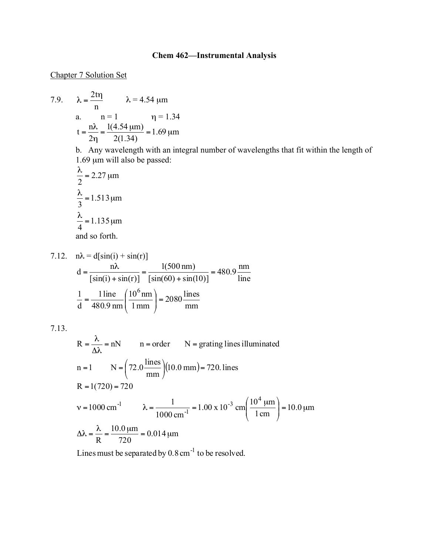## **Chem 462—Instrumental Analysis**

## Chapter 7 Solution Set

7.9. 
$$
\lambda = \frac{2 \text{tr}}{n} \qquad \lambda = 4.54 \text{ }\mu\text{m}
$$
  
a. 
$$
n = 1 \qquad \eta = 1.34
$$

$$
t = \frac{n\lambda}{2\eta} = \frac{1(4.54 \text{ }\mu\text{m})}{2(1.34)} = 1.69 \text{ }\mu\text{m}
$$

b. Any wavelength with an integral number of wavelengths that fit within the length of 1.69 µm will also be passed:

$$
\frac{\lambda}{2} = 2.27 \text{ }\mu\text{m}
$$
  

$$
\frac{\lambda}{3} = 1.513 \text{ }\mu\text{m}
$$
  

$$
\frac{\lambda}{4} = 1.135 \text{ }\mu\text{m}
$$
  
and so forth.

7.12. 
$$
n\lambda = d[sin(i) + sin(r)]
$$
  
\n
$$
d = \frac{n\lambda}{[sin(i) + sin(r)]} = \frac{1(500 \text{ nm})}{[sin(60) + sin(10)]} = 480.9 \frac{\text{nm}}{\text{line}}
$$
\n
$$
\frac{1}{d} = \frac{1 \text{ line}}{480.9 \text{ nm}} \left(\frac{10^6 \text{ nm}}{1 \text{ mm}}\right) = 2080 \frac{\text{lines}}{\text{mm}}
$$

7.13.

R = 
$$
\frac{\lambda}{\Delta\lambda}
$$
 = nN n = order N = grating lines illuminated  
\nn = 1 N =  $\left(72.0 \frac{\text{lines}}{\text{mm}}\right)(10.0 \text{ mm}) = 720.$  lines  
\nR = 1(720) = 720  
\nv = 1000 cm<sup>-1</sup>  $\lambda = \frac{1}{1000 \text{ cm}^{-1}} = 1.00 \times 10^{-3} \text{ cm} \left(\frac{10^4 \text{ }\mu\text{m}}{1 \text{ cm}}\right) = 10.0 \text{ }\mu\text{m}$   
\n $\Delta\lambda = \frac{\lambda}{R} = \frac{10.0 \text{ }\mu\text{m}}{720} = 0.014 \text{ }\mu\text{m}$ 

Lines must be separated by  $0.8 \text{ cm}^{-1}$  to be resolved.